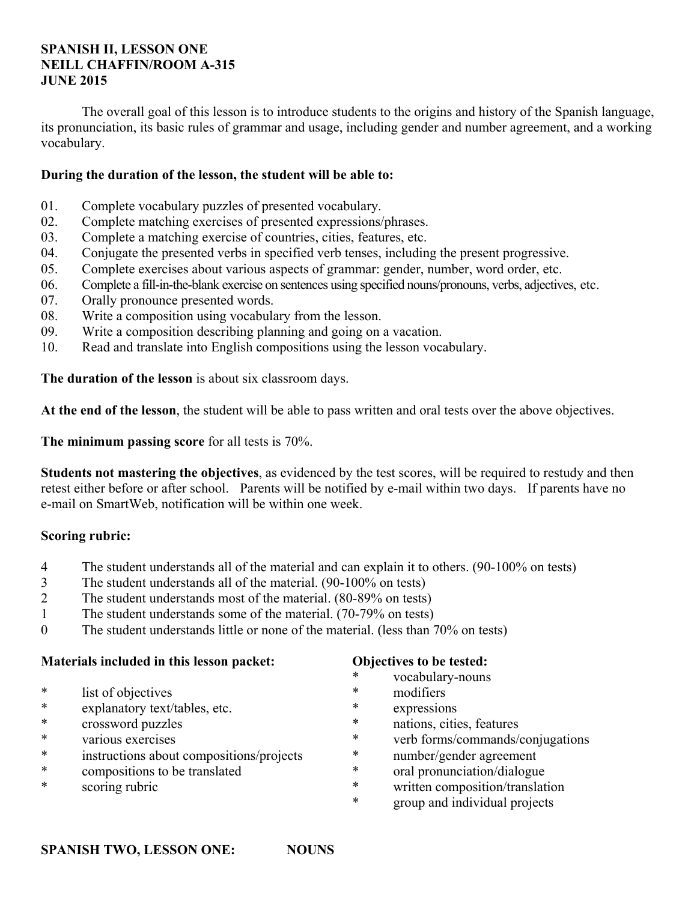## **SPANISH II, LESSON ONE NEILL CHAFFIN/ROOM A-315 JUNE 2015**

 The overall goal of this lesson is to introduce students to the origins and history of the Spanish language, its pronunciation, its basic rules of grammar and usage, including gender and number agreement, and a working vocabulary.

## **During the duration of the lesson, the student will be able to:**

- 01. Complete vocabulary puzzles of presented vocabulary.
- 02. Complete matching exercises of presented expressions/phrases.
- 03. Complete a matching exercise of countries, cities, features, etc.
- 04. Conjugate the presented verbs in specified verb tenses, including the present progressive.
- 05. Complete exercises about various aspects of grammar: gender, number, word order, etc.
- 06. Complete a fill-in-the-blank exercise on sentences using specified nouns/pronouns, verbs, adjectives, etc.
- 07. Orally pronounce presented words.
- 08. Write a composition using vocabulary from the lesson.
- 09. Write a composition describing planning and going on a vacation.
- 10. Read and translate into English compositions using the lesson vocabulary.

**The duration of the lesson** is about six classroom days.

**At the end of the lesson**, the student will be able to pass written and oral tests over the above objectives.

**The minimum passing score** for all tests is 70%.

**Students not mastering the objectives**, as evidenced by the test scores, will be required to restudy and then retest either before or after school. Parents will be notified by e-mail within two days. If parents have no e-mail on SmartWeb, notification will be within one week.

## **Scoring rubric:**

- 4 The student understands all of the material and can explain it to others. (90-100% on tests)
- 3 The student understands all of the material. (90-100% on tests)
- 2 The student understands most of the material. (80-89% on tests)
- 1 The student understands some of the material. (70-79% on tests)
- 0 The student understands little or none of the material. (less than 70% on tests)

## **Materials included in this lesson packet:**

- \* list of objectives<br>\*  $\frac{1}{2}$  explanatory text<sup>/s</sup>
- explanatory text/tables, etc.
- \* crossword puzzles
- \* various exercises
- \* instructions about compositions/projects
- \* compositions to be translated
- \* scoring rubric

## **Objectives to be tested:**

- \* vocabulary-nouns
- \* modifiers
- expressions
- \* nations, cities, features
- \* verb forms/commands/conjugations
- \* number/gender agreement
- \* oral pronunciation/dialogue<br>\* written composition/translat
- written composition/translation
- \* group and individual projects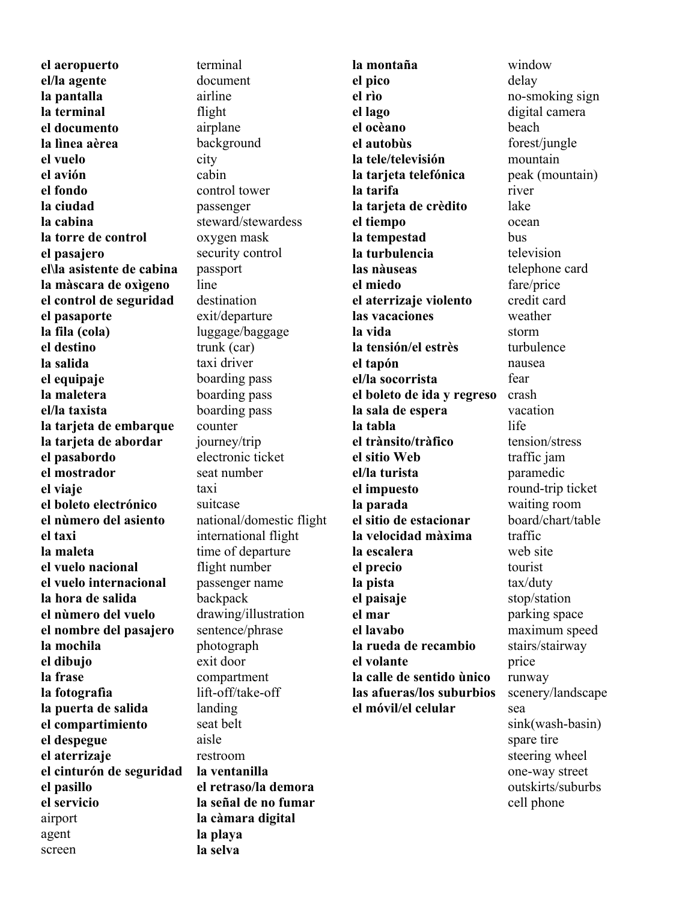**el aeropuerto el/la agente la pantalla la terminal el documento la lìnea aèrea el vuelo el avión el fondo la ciudad la cabina la torre de control el pasajero el\la asistente de cabina la màscara de oxìgeno el control de seguridad el pasaporte la fila (cola) el destino la salida el equipaje la maletera el/la taxista la tarjeta de embarque la tarjeta de abordar el pasabordo el mostrador el viaje el boleto electrónico el nùmero del asiento el taxi la maleta el vuelo nacional el vuelo internacional la hora de salida el nùmero del vuelo el nombre del pasajero la mochila el dibujo la frase la fotografìa la puerta de salida el compartimiento el despegue el aterrizaje el cinturón de seguridad el pasillo el servicio** airport agent screen

terminal document airline flight airplane background city cabin control tower passenger steward/stewardess oxygen mask security control passport line destination exit/departure luggage/baggage trunk (car) taxi driver boarding pass boarding pass boarding pass counter journey/trip electronic ticket seat number taxi suitcase national/domestic flight international flight time of departure flight number passenger name backpack drawing/illustration sentence/phrase photograph exit door compartment lift-off/take-off landing seat belt aisle restroom **la ventanilla el retraso/la demora la señal de no fumar la càmara digital la playa la selva** 

**la montaña el pico el rìo el lago el ocèano el autobùs la tele/televisión la tarjeta telefónica la tarifa la tarjeta de crèdito el tiempo la tempestad la turbulencia las nàuseas el miedo el aterrizaje violento las vacaciones la vida la tensión/el estrès el tapón el/la socorrista el boleto de ida y regreso la sala de espera la tabla el trànsito/tràfico el sitio Web el/la turista el impuesto la parada el sitio de estacionar la velocidad màxima la escalera el precio la pista el paisaje el mar el lavabo la rueda de recambio el volante la calle de sentido ùnico las afueras/los suburbios el móvil/el celular**

window delay no-smoking sign digital camera beach forest/jungle mountain peak (mountain) river lake ocean bus television telephone card fare/price credit card weather storm turbulence nausea fear crash vacation life tension/stress traffic jam paramedic round-trip ticket waiting room board/chart/table traffic web site tourist tax/duty stop/station parking space maximum speed stairs/stairway price runway scenery/landscape sea sink(wash-basin) spare tire steering wheel one-way street outskirts/suburbs cell phone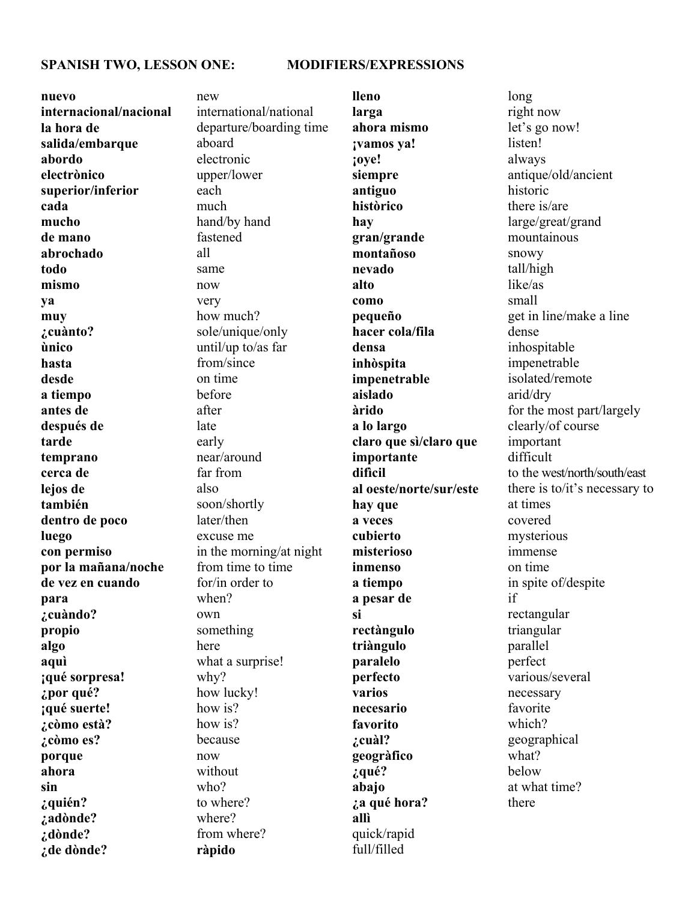#### **SPANISH TWO, LESSON ONE: MODIFIERS/EXPRESSIONS**

**nuevo internacional/nacional la hora de salida/embarque abordo electrònico superior/inferior cada mucho de mano abrochado todo mismo ya muy ¿cuànto? ùnico hasta desde a tiempo antes de después de tarde temprano cerca de lejos de también dentro de poco luego con permiso por la mañana/noche de vez en cuando para ¿cuàndo? propio algo aquì ¡qué sorpresa! ¿por qué? ¡qué suerte! ¿còmo està? ¿còmo es? porque ahora sin ¿quién? ¿adònde? ¿dònde? ¿de dònde?**

new international/national departure/boarding time aboard electronic upper/lower each much hand/by hand fastened all same now very how much? sole/unique/only until/up to/as far from/since on time before after late early near/around far from also soon/shortly later/then excuse me in the morning/at night from time to time for/in order to when? own something here what a surprise! why? how lucky! how is? how is? because now without who? to where? where? from where? **ràpido** 

**lleno larga ahora mismo ¡vamos ya! ¡oye! siempre antiguo històrico hay gran/grande montañoso nevado alto como pequeño hacer cola/fila densa inhòspita impenetrable aislado àrido a lo largo claro que sì/claro que importante difìcil al oeste/norte/sur/este hay que a veces cubierto misterioso inmenso a tiempo a pesar de si rectàngulo triàngulo paralelo perfecto varios necesario favorito ¿cuàl? geogràfico ¿qué? abajo ¿a qué hora? allì** quick/rapid full/filled

long right now let's go now! listen! always antique/old/ancient historic there is/are large/great/grand mountainous snowy tall/high like/as small get in line/make a line dense inhospitable impenetrable isolated/remote arid/dry for the most part/largely clearly/of course important difficult to the west/north/south/east there is to/it's necessary to at times covered mysterious immense on time in spite of/despite if rectangular triangular parallel perfect various/several necessary favorite which? geographical what? below at what time? there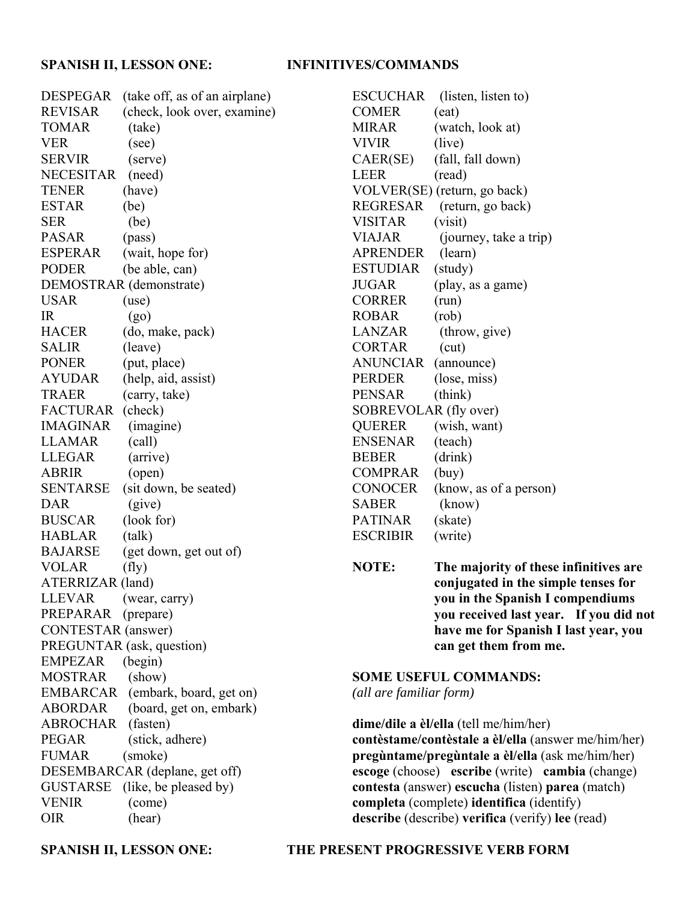### **SPANISH II, LESSON ONE: INFINITIVES/COMMANDS**

DESPEGAR (take off, as of an airplane) REVISAR (check, look over, examine) TOMAR (take) VER (see) SERVIR (serve) NECESITAR (need) TENER (have) ESTAR (be) SER (be) PASAR (pass) ESPERAR (wait, hope for) PODER (be able, can) DEMOSTRAR (demonstrate) USAR (use) IR  $(go)$ HACER (do, make, pack) SALIR (leave) PONER (put, place) AYUDAR (help, aid, assist) TRAER (carry, take) FACTURAR (check) IMAGINAR (imagine) LLAMAR (call) LLEGAR (arrive) ABRIR (open) SENTARSE (sit down, be seated) DAR (give) BUSCAR (look for) HABLAR (talk) BAJARSE (get down, get out of) VOLAR (fly) ATERRIZAR (land) LLEVAR (wear, carry) PREPARAR (prepare) CONTESTAR (answer) PREGUNTAR (ask, question) EMPEZAR (begin) MOSTRAR (show) EMBARCAR (embark, board, get on) ABORDAR (board, get on, embark) ABROCHAR (fasten) PEGAR (stick, adhere) FUMAR (smoke) DESEMBARCAR (deplane, get off) GUSTARSE (like, be pleased by) VENIR (come) OIR (hear)

ESCUCHAR (listen, listen to) COMER (eat) MIRAR (watch, look at) VIVIR (live) CAER(SE) (fall, fall down) LEER (read) VOLVER(SE) (return, go back) REGRESAR (return, go back) VISITAR (visit) VIAJAR (journey, take a trip) APRENDER (learn) ESTUDIAR (study) JUGAR (play, as a game) CORRER (run) ROBAR (rob) LANZAR (throw, give) CORTAR (cut) ANUNCIAR (announce) PERDER (lose, miss) PENSAR (think) SOBREVOLAR (fly over) QUERER (wish, want) ENSENAR (teach) BEBER (drink) COMPRAR (buy) CONOCER (know, as of a person) SABER (know) PATINAR (skate) ESCRIBIR (write)

**NOTE: The majority of these infinitives are conjugated in the simple tenses for you in the Spanish I compendiums you received last year. If you did not have me for Spanish I last year, you can get them from me.**

# **SOME USEFUL COMMANDS:**

*(all are familiar form)*

**dime/dile a èl/ella** (tell me/him/her) **contèstame/contèstale a èl/ella** (answer me/him/her) **pregùntame/pregùntale a èl/ella** (ask me/him/her) **escoge** (choose) **escribe** (write) **cambia** (change) **contesta** (answer) **escucha** (listen) **parea** (match) **completa** (complete) **identifica** (identify) **describe** (describe) **verifica** (verify) **lee** (read)

### **SPANISH II, LESSON ONE: THE PRESENT PROGRESSIVE VERB FORM**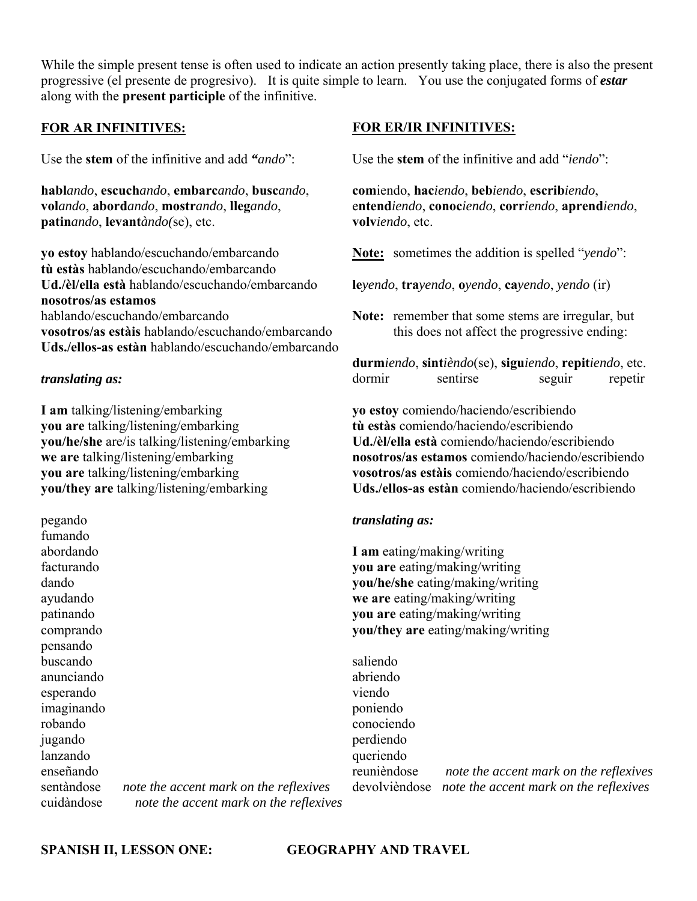While the simple present tense is often used to indicate an action presently taking place, there is also the present progressive (el presente de progresivo). It is quite simple to learn. You use the conjugated forms of *estar* along with the **present participle** of the infinitive.

## **FOR AR INFINITIVES:**

Use the **stem** of the infinitive and add *"ando*":

**habl***ando*, **escuch***ando*, **embarc***ando*, **busc***ando*, **vol***ando*, **abord***ando*, **mostr***ando*, **lleg***ando*, **patin***ando*, **levant***àndo(*se), etc.

**yo estoy** hablando/escuchando/embarcando **tù estàs** hablando/escuchando/embarcando **Ud./èl/ella està** hablando/escuchando/embarcando **nosotros/as estamos** hablando/escuchando/embarcando **vosotros/as estàis** hablando/escuchando/embarcando **Uds./ellos-as estàn** hablando/escuchando/embarcando

### *translating as:*

**I am** talking/listening/embarking **you are** talking/listening/embarking **you/he/she** are/is talking/listening/embarking **we are** talking/listening/embarking **you are** talking/listening/embarking **you/they are** talking/listening/embarking

pegando fumando abordando facturando dando ayudando patinando comprando pensando buscando anunciando esperando imaginando robando jugando lanzando enseñando

sentàndose *note the accent mark on the reflexives* cuidàndose *note the accent mark on the reflexives*

#### **FOR ER/IR INFINITIVES:**

Use the **stem** of the infinitive and add "*iendo*":

**com**iendo, **hac***iendo*, **beb***iendo*, **escrib***iendo*, e**ntend***iendo*, **conoc***iendo*, **corr***iendo*, **aprend***iendo*, **volv***iendo*, etc.

**Note:** sometimes the addition is spelled "*yendo*":

**le***yendo*, **tra***yendo*, **o***yendo*, **ca***yendo*, *yendo* (ir)

**Note:** remember that some stems are irregular, but this does not affect the progressive ending:

**durm***iendo*, **sint***ièndo*(se), **sigu***iendo*, **repit***iendo*, etc. dormir sentirse seguir repetir

**yo estoy** comiendo/haciendo/escribiendo **tù estàs** comiendo/haciendo/escribiendo **Ud./èl/ella està** comiendo/haciendo/escribiendo **nosotros/as estamos** comiendo/haciendo/escribiendo **vosotros/as estàis** comiendo/haciendo/escribiendo **Uds./ellos-as estàn** comiendo/haciendo/escribiendo

#### *translating as:*

**I am** eating/making/writing **you are** eating/making/writing **you/he/she** eating/making/writing **we are** eating/making/writing **you are** eating/making/writing **you/they are** eating/making/writing

saliendo abriendo viendo poniendo conociendo perdiendo queriendo reunièndose *note the accent mark on the reflexives* devolvièndose *note the accent mark on the reflexives*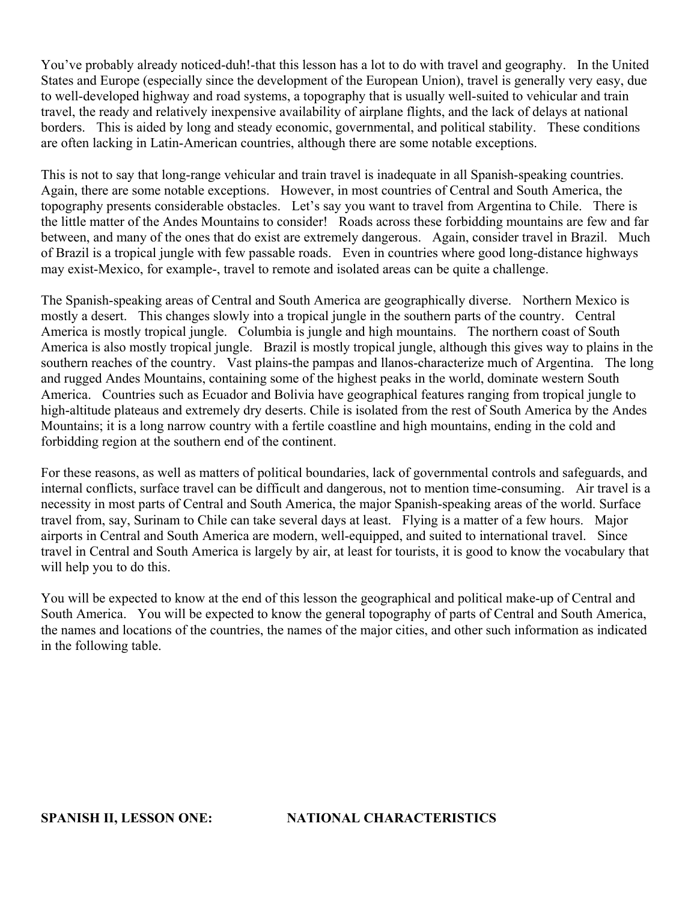You've probably already noticed-duh!-that this lesson has a lot to do with travel and geography. In the United States and Europe (especially since the development of the European Union), travel is generally very easy, due to well-developed highway and road systems, a topography that is usually well-suited to vehicular and train travel, the ready and relatively inexpensive availability of airplane flights, and the lack of delays at national borders. This is aided by long and steady economic, governmental, and political stability. These conditions are often lacking in Latin-American countries, although there are some notable exceptions.

This is not to say that long-range vehicular and train travel is inadequate in all Spanish-speaking countries. Again, there are some notable exceptions. However, in most countries of Central and South America, the topography presents considerable obstacles. Let's say you want to travel from Argentina to Chile. There is the little matter of the Andes Mountains to consider! Roads across these forbidding mountains are few and far between, and many of the ones that do exist are extremely dangerous. Again, consider travel in Brazil. Much of Brazil is a tropical jungle with few passable roads. Even in countries where good long-distance highways may exist-Mexico, for example-, travel to remote and isolated areas can be quite a challenge.

The Spanish-speaking areas of Central and South America are geographically diverse. Northern Mexico is mostly a desert. This changes slowly into a tropical jungle in the southern parts of the country. Central America is mostly tropical jungle. Columbia is jungle and high mountains. The northern coast of South America is also mostly tropical jungle. Brazil is mostly tropical jungle, although this gives way to plains in the southern reaches of the country. Vast plains-the pampas and llanos-characterize much of Argentina. The long and rugged Andes Mountains, containing some of the highest peaks in the world, dominate western South America. Countries such as Ecuador and Bolivia have geographical features ranging from tropical jungle to high-altitude plateaus and extremely dry deserts. Chile is isolated from the rest of South America by the Andes Mountains; it is a long narrow country with a fertile coastline and high mountains, ending in the cold and forbidding region at the southern end of the continent.

For these reasons, as well as matters of political boundaries, lack of governmental controls and safeguards, and internal conflicts, surface travel can be difficult and dangerous, not to mention time-consuming. Air travel is a necessity in most parts of Central and South America, the major Spanish-speaking areas of the world. Surface travel from, say, Surinam to Chile can take several days at least. Flying is a matter of a few hours. Major airports in Central and South America are modern, well-equipped, and suited to international travel. Since travel in Central and South America is largely by air, at least for tourists, it is good to know the vocabulary that will help you to do this.

You will be expected to know at the end of this lesson the geographical and political make-up of Central and South America. You will be expected to know the general topography of parts of Central and South America, the names and locations of the countries, the names of the major cities, and other such information as indicated in the following table.

**SPANISH II, LESSON ONE: NATIONAL CHARACTERISTICS**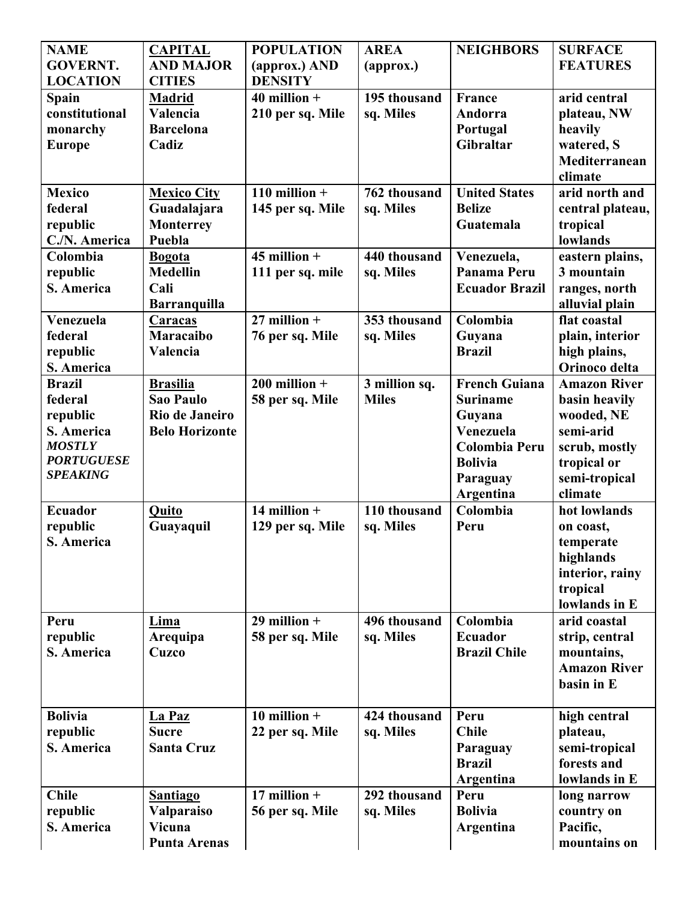| <b>NAME</b>       | <b>CAPITAL</b>        | <b>POPULATION</b> | <b>AREA</b>   | <b>NEIGHBORS</b>      | <b>SURFACE</b>           |
|-------------------|-----------------------|-------------------|---------------|-----------------------|--------------------------|
| <b>GOVERNT.</b>   | <b>AND MAJOR</b>      | (approx.) AND     | (approx.)     |                       | <b>FEATURES</b>          |
| <b>LOCATION</b>   | <b>CITIES</b>         | <b>DENSITY</b>    |               |                       |                          |
| Spain             | <b>Madrid</b>         | $40$ million +    | 195 thousand  | <b>France</b>         | arid central             |
| constitutional    | Valencia              | 210 per sq. Mile  | sq. Miles     | Andorra               | plateau, NW              |
| monarchy          | <b>Barcelona</b>      |                   |               | Portugal              | heavily                  |
| <b>Europe</b>     | Cadiz                 |                   |               | Gibraltar             | watered, S               |
|                   |                       |                   |               |                       | Mediterranean            |
|                   |                       |                   |               |                       | climate                  |
| <b>Mexico</b>     | <b>Mexico City</b>    | 110 million $+$   | 762 thousand  | <b>United States</b>  | arid north and           |
| federal           | Guadalajara           | 145 per sq. Mile  | sq. Miles     | <b>Belize</b>         | central plateau,         |
| republic          | <b>Monterrey</b>      |                   |               | Guatemala             | tropical                 |
| C./N. America     | Puebla                |                   |               |                       | lowlands                 |
| Colombia          | <b>Bogota</b>         | $45$ million +    | 440 thousand  | Venezuela,            | eastern plains,          |
| republic          | <b>Medellin</b>       | 111 per sq. mile  | sq. Miles     | Panama Peru           | 3 mountain               |
| S. America        | Cali                  |                   |               | <b>Ecuador Brazil</b> | ranges, north            |
|                   | <b>Barranquilla</b>   |                   |               |                       | alluvial plain           |
| Venezuela         | <b>Caracas</b>        | $27$ million +    | 353 thousand  | Colombia              | flat coastal             |
| federal           | <b>Maracaibo</b>      | 76 per sq. Mile   | sq. Miles     | Guyana                | plain, interior          |
| republic          | Valencia              |                   |               | <b>Brazil</b>         | high plains,             |
| S. America        |                       |                   |               |                       | Orinoco delta            |
| <b>Brazil</b>     | <b>Brasilia</b>       | $200$ million +   | 3 million sq. | <b>French Guiana</b>  | <b>Amazon River</b>      |
| federal           | <b>Sao Paulo</b>      | 58 per sq. Mile   | <b>Miles</b>  | <b>Suriname</b>       | basin heavily            |
| republic          | Rio de Janeiro        |                   |               | Guyana                | wooded, NE               |
| S. America        | <b>Belo Horizonte</b> |                   |               | Venezuela             | semi-arid                |
| <b>MOSTLY</b>     |                       |                   |               | <b>Colombia Peru</b>  |                          |
| <b>PORTUGUESE</b> |                       |                   |               | <b>Bolivia</b>        | scrub, mostly            |
| <b>SPEAKING</b>   |                       |                   |               |                       | tropical or              |
|                   |                       |                   |               | Paraguay              | semi-tropical<br>climate |
|                   |                       |                   | 110 thousand  | Argentina             |                          |
| <b>Ecuador</b>    | <b>Quito</b>          | 14 million $+$    |               | Colombia              | hot lowlands             |
| republic          | Guayaquil             | 129 per sq. Mile  | sq. Miles     | Peru                  | on coast,                |
| S. America        |                       |                   |               |                       | temperate                |
|                   |                       |                   |               |                       | highlands                |
|                   |                       |                   |               |                       | interior, rainy          |
|                   |                       |                   |               |                       | tropical                 |
|                   |                       |                   |               |                       | lowlands in E            |
| Peru              | Lima                  | $29$ million +    | 496 thousand  | Colombia              | arid coastal             |
| republic          | Arequipa              | 58 per sq. Mile   | sq. Miles     | <b>Ecuador</b>        | strip, central           |
| S. America        | <b>Cuzco</b>          |                   |               | <b>Brazil Chile</b>   | mountains,               |
|                   |                       |                   |               |                       | <b>Amazon River</b>      |
|                   |                       |                   |               |                       | basin in E               |
|                   |                       |                   |               |                       |                          |
| <b>Bolivia</b>    | La Paz                | 10 million $+$    | 424 thousand  | Peru                  | high central             |
| republic          | <b>Sucre</b>          | 22 per sq. Mile   | sq. Miles     | <b>Chile</b>          | plateau,                 |
| S. America        | <b>Santa Cruz</b>     |                   |               | Paraguay              | semi-tropical            |
|                   |                       |                   |               | <b>Brazil</b>         | forests and              |
|                   |                       |                   |               | Argentina             | lowlands in E            |
| <b>Chile</b>      | <b>Santiago</b>       | 17 million $+$    | 292 thousand  | Peru                  | long narrow              |
| republic          | Valparaiso            | 56 per sq. Mile   | sq. Miles     | <b>Bolivia</b>        | country on               |
| S. America        | Vicuna                |                   |               | Argentina             | Pacific,                 |
|                   | <b>Punta Arenas</b>   |                   |               |                       | mountains on             |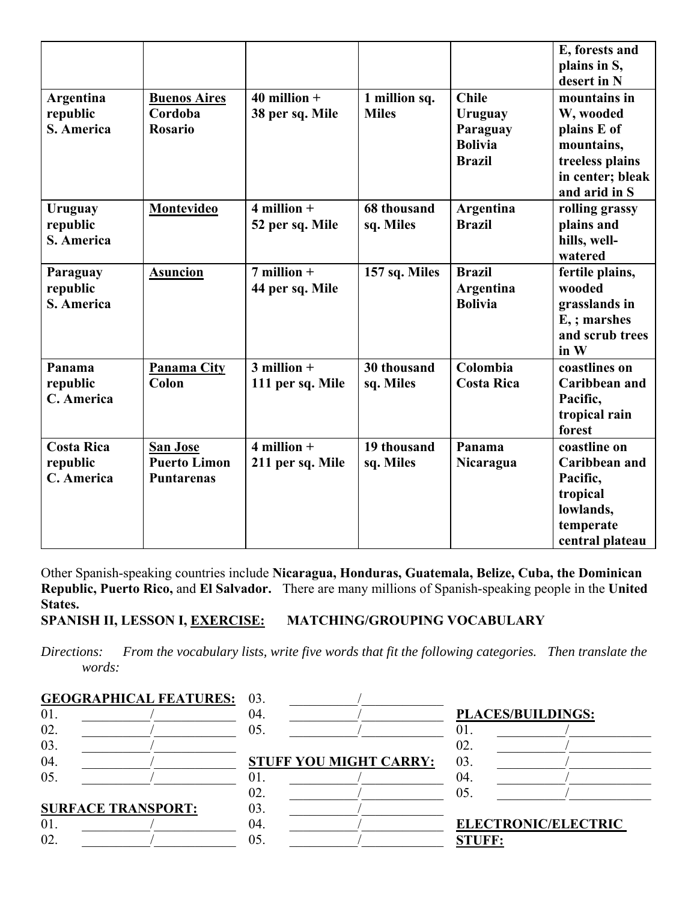| Argentina<br>republic<br>S. America         | <b>Buenos Aires</b><br>Cordoba<br><b>Rosario</b>            | $40$ million +<br>38 per sq. Mile   | 1 million sq.<br><b>Miles</b> | <b>Chile</b><br>Uruguay<br>Paraguay<br><b>Bolivia</b><br><b>Brazil</b> | E, forests and<br>plains in S,<br>desert in N<br>mountains in<br>W, wooded<br>plains E of<br>mountains,<br>treeless plains<br>in center; bleak<br>and arid in S |
|---------------------------------------------|-------------------------------------------------------------|-------------------------------------|-------------------------------|------------------------------------------------------------------------|-----------------------------------------------------------------------------------------------------------------------------------------------------------------|
| Uruguay<br>republic<br>S. America           | Montevideo                                                  | $4$ million $+$<br>52 per sq. Mile  | 68 thousand<br>sq. Miles      | Argentina<br><b>Brazil</b>                                             | rolling grassy<br>plains and<br>hills, well-<br>watered                                                                                                         |
| Paraguay<br>republic<br>S. America          | <b>Asuncion</b>                                             | $7$ million $+$<br>44 per sq. Mile  | 157 sq. Miles                 | <b>Brazil</b><br>Argentina<br><b>Bolivia</b>                           | fertile plains,<br>wooded<br>grasslands in<br>E <sub>i</sub> ; marshes<br>and scrub trees<br>in W                                                               |
| Panama<br>republic<br>C. America            | <b>Panama City</b><br>Colon                                 | $3$ million $+$<br>111 per sq. Mile | 30 thousand<br>sq. Miles      | Colombia<br><b>Costa Rica</b>                                          | coastlines on<br>Caribbean and<br>Pacific,<br>tropical rain<br>forest                                                                                           |
| <b>Costa Rica</b><br>republic<br>C. America | <b>San Jose</b><br><b>Puerto Limon</b><br><b>Puntarenas</b> | $4$ million $+$<br>211 per sq. Mile | 19 thousand<br>sq. Miles      | Panama<br>Nicaragua                                                    | coastline on<br><b>Caribbean</b> and<br>Pacific,<br>tropical<br>lowlands,<br>temperate<br>central plateau                                                       |

Other Spanish-speaking countries include **Nicaragua, Honduras, Guatemala, Belize, Cuba, the Dominican Republic, Puerto Rico,** and **El Salvador.** There are many millions of Spanish-speaking people in the **United States.**

**SPANISH II, LESSON I, EXERCISE: MATCHING/GROUPING VOCABULARY**

*Directions: From the vocabulary lists, write five words that fit the following categories. Then translate the words:*

| <b>GEOGRAPHICAL FEATURES: 03.</b> |     |                               |                            |
|-----------------------------------|-----|-------------------------------|----------------------------|
| 01                                | 04. |                               | <b>PLACES/BUILDINGS:</b>   |
| 02.                               | 05. |                               | 01.                        |
| 03.                               |     |                               | 02.                        |
| 04.                               |     | <b>STUFF YOU MIGHT CARRY:</b> | 03.                        |
| 05.                               | U L |                               | 04.                        |
|                                   | 02. |                               | 05.                        |
| <b>SURFACE TRANSPORT:</b>         | 03. |                               |                            |
| 01                                | 04. |                               | <b>ELECTRONIC/ELECTRIC</b> |
| 02.                               | 05. |                               | STUFF:                     |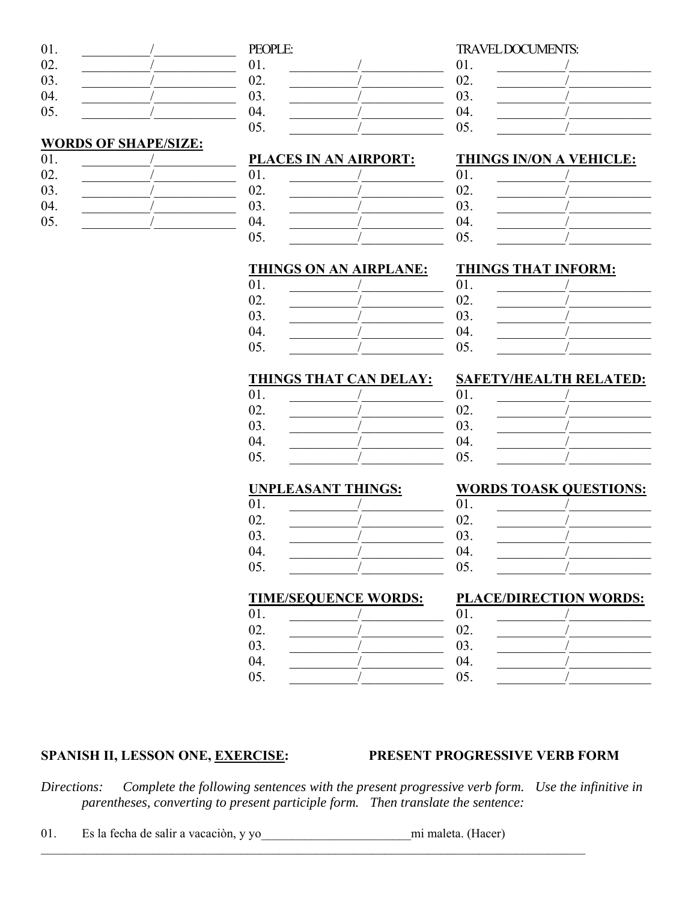| 01. | PEOPLE:    |
|-----|------------|
| 02. | 01.        |
| 03. | 02.        |
| 04. | 03.        |
| 05. | 04.        |
|     | $\sim$ $-$ |

## **WORDS OF SHAPE/SIZE:**

| 01. |  |
|-----|--|
| 02. |  |
| 03. |  |
| 04. |  |
| 05. |  |

| 1 DOI LL. |  |
|-----------|--|
| 01.       |  |
| 02.       |  |
| 03.       |  |
| 04.       |  |
| 05.       |  |
|           |  |

## PLACES IN AN AIRPORT:

| 01. |  |
|-----|--|
| 02. |  |
| 03. |  |
| 04. |  |
| 05. |  |

#### TRAVELDOCUMENTS:  $\overline{0}$

| 01. |  |
|-----|--|
| 02. |  |
| 03. |  |
| 04. |  |
| 05. |  |

## **THINGS IN/ON A VEHICLE:**

### **THINGS ON AN AIRPLANE:**

| 01. |  |
|-----|--|
| 02. |  |
| 03. |  |
| 04. |  |
| 05. |  |

#### THINGS THAT INFORM:  $01.$

| 01. |  |
|-----|--|
| 02. |  |
| 03. |  |
| 04. |  |
| 05. |  |
|     |  |

**SAFETY/HEALTH RELATED:** 

### THINGS THAT CAN DELAY:

| . .    |  |
|--------|--|
| ∽<br>1 |  |

| 03. |  |
|-----|--|
| 04. |  |
| 05. |  |

01.

01.

 $02.$ 

03.

04.

05.

01.

02.

 $01.$ 

 $02<sub>1</sub>$ 

03.

 $04.$ 

05.

 $\sqrt{2}$ 

# **UNPLEASANT THINGS:**

05.

05.

| 01.             |  |
|-----------------|--|
| $\Omega$<br>∪∠. |  |
| . .<br>. .      |  |

| . |  |
|---|--|
|   |  |

| 02. |  |
|-----|--|
| 03. |  |
| 04. |  |
| 05. |  |

**WORDS TOASK QUESTIONS:** 

# **TIME/SEQUENCE WORDS:**

 $01.$  $\prime$ 02.  $\overline{1}$ 03.  $\sqrt{ }$ 04.  $\sqrt{2}$ 05.  $\sqrt{2}$ 

# **PLACE/DIRECTION WORDS:**

# **SPANISH II, LESSON ONE, EXERCISE:**

# PRESENT PROGRESSIVE VERB FORM

Directions: Complete the following sentences with the present progressive verb form. Use the infinitive in parentheses, converting to present participle form. Then translate the sentence:

01. Es la fecha de salir a vacación, y yo mimaleta. (Hacer)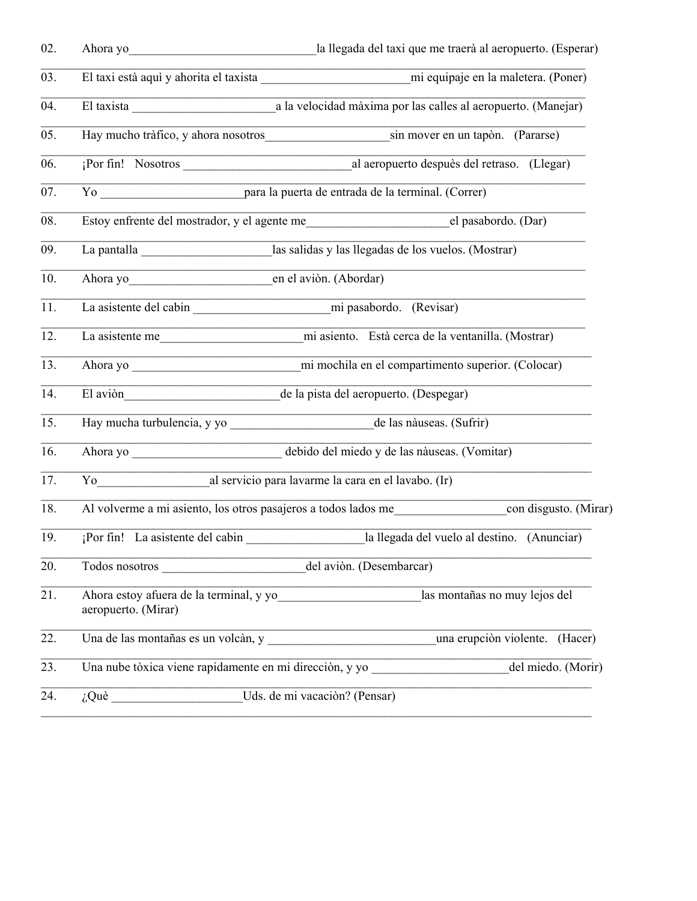| 02.               |                                                                  |                                                                                                  |  |  |  |
|-------------------|------------------------------------------------------------------|--------------------------------------------------------------------------------------------------|--|--|--|
| 03.               |                                                                  |                                                                                                  |  |  |  |
| 04.               |                                                                  |                                                                                                  |  |  |  |
| $\overline{05}$ . |                                                                  | Hay mucho tràfico, y ahora nosotros<br>sin mover en un tapòn. (Pararse)                          |  |  |  |
| 06.               | por fin! Nosotros                                                | al aeropuerto despuès del retraso. (Llegar)                                                      |  |  |  |
| 07.               |                                                                  |                                                                                                  |  |  |  |
| 08.               |                                                                  | Estoy enfrente del mostrador, y el agente me<br>el pasabordo. (Dar)                              |  |  |  |
| 09.               |                                                                  | las salidas y las llegadas de los vuelos. (Mostrar)                                              |  |  |  |
| 10.               | Ahora yo                                                         | en el aviòn. (Abordar)                                                                           |  |  |  |
| 11.               |                                                                  |                                                                                                  |  |  |  |
| 12.               |                                                                  |                                                                                                  |  |  |  |
| 13.               |                                                                  |                                                                                                  |  |  |  |
| 14.               |                                                                  | El aviòn de la pista del aeropuerto. (Despegar)                                                  |  |  |  |
| 15.               |                                                                  |                                                                                                  |  |  |  |
| 16.               |                                                                  | Ahora yo ________________________________ debido del miedo y de las nàuseas. (Vomitar)           |  |  |  |
| 17.               |                                                                  | To al servicio para lavarme la cara en el lavabo. (Ir)                                           |  |  |  |
| 18.               |                                                                  | Al volverme a mi asiento, los otros pasajeros a todos lados mermios con disgusto. (Mirar)        |  |  |  |
| 19.               |                                                                  | la llegada del vuelo al destino. (Anunciar)                                                      |  |  |  |
| 20.               |                                                                  |                                                                                                  |  |  |  |
| 21.               | aeropuerto. (Mirar)                                              | Ahora estoy afuera de la terminal, y yo____________________________las montañas no muy lejos del |  |  |  |
| 22.               |                                                                  | Una de las montañas es un volcàn, y una erupción violente. (Hacer)                               |  |  |  |
| 23.               |                                                                  | Una nube tòxica viene rapidamente en mi direcciòn, y yo del miedo. (Morir)                       |  |  |  |
| 24.               | $i$ Què $\underline{\hspace{1cm}}$ Uds. de mi vacaciòn? (Pensar) |                                                                                                  |  |  |  |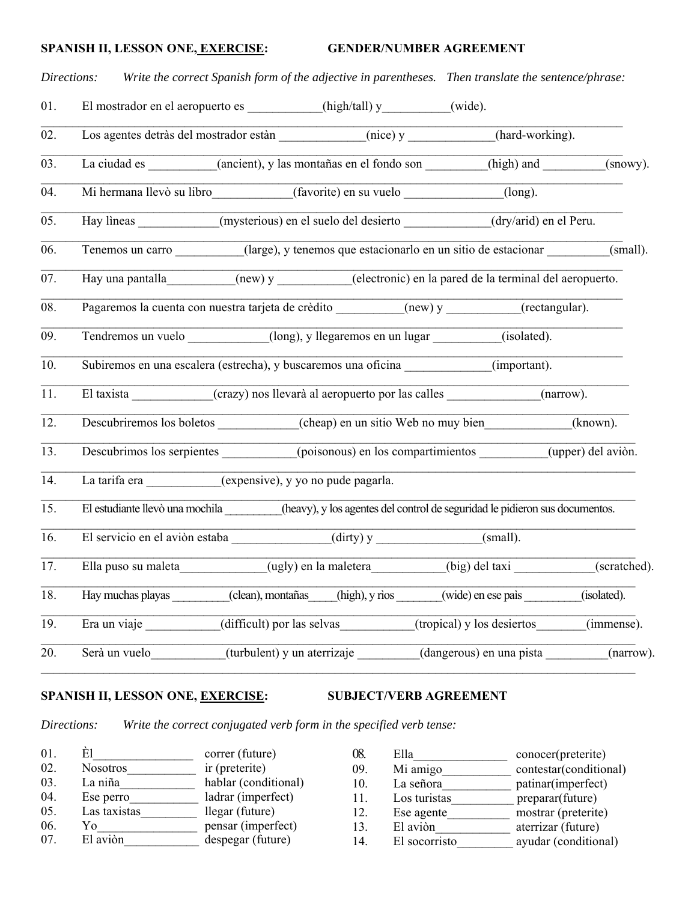# SPANISH II, LESSON ONE<u>, EXERCISE</u>: GENDER/NUMBER AGREEMENT

|     | Directions:                                                                                                 |                            |                             |                            | Write the correct Spanish form of the adjective in parentheses. Then translate the sentence/phrase:    |
|-----|-------------------------------------------------------------------------------------------------------------|----------------------------|-----------------------------|----------------------------|--------------------------------------------------------------------------------------------------------|
| 01. | El mostrador en el aeropuerto es __________(high/tall) y________(wide).                                     |                            |                             |                            |                                                                                                        |
| 02. | Los agentes detràs del mostrador estàn (nice) y _____________(hard-working).                                |                            |                             |                            |                                                                                                        |
| 03. |                                                                                                             |                            |                             |                            | La ciudad es (ancient), y las montañas en el fondo son (high) and (snowy).                             |
| 04. | Mi hermana Ilevò su libro (favorite) en su vuelo (long).                                                    |                            |                             |                            |                                                                                                        |
| 05. | Hay lineas (mysterious) en el suelo del desierto (dry/arid) en el Peru.                                     |                            |                             |                            |                                                                                                        |
| 06. |                                                                                                             |                            |                             |                            | Tenemos un carro ________(large), y tenemos que estacionarlo en un sitio de estacionar _______(small). |
| 07. | Hay una pantalla_________(new) y ________(electronic) en la pared de la terminal del aeropuerto.            |                            |                             |                            |                                                                                                        |
| 08. | Pagaremos la cuenta con nuestra tarjeta de crèdito __________(new) y _________(rectangular).                |                            |                             |                            |                                                                                                        |
| 09. | Tendremos un vuelo (long), y llegaremos en un lugar (isolated).                                             |                            |                             |                            |                                                                                                        |
| 10. | Subiremos en una escalera (estrecha), y buscaremos una oficina                                              |                            |                             |                            | (important).                                                                                           |
| 11. | El taxista (crazy) nos llevarà al aeropuerto por las calles                                                 |                            |                             |                            | (narrow).                                                                                              |
| 12. | Descubriremos los boletos (cheap) en un sitio Web no muy bien (known).                                      |                            |                             |                            |                                                                                                        |
| 13. | Descubrimos los serpientes (poisonous) en los compartimientos                                               |                            |                             |                            | (upper) del avion.                                                                                     |
| 14. | La tarifa era __________(expensive), y yo no pude pagarla.                                                  |                            |                             |                            |                                                                                                        |
| 15. | El estudiante llevò una mochila (heavy), y los agentes del control de seguridad le pidieron sus documentos. |                            |                             |                            |                                                                                                        |
| 16. | El servicio en el aviòn estaba (dirty) y (dirty) y (small).                                                 |                            |                             |                            |                                                                                                        |
| 17. | Ella puso su maleta                                                                                         |                            | (ugly) en la maletera       | (big) del taxi             | (scratched).                                                                                           |
| 18. | Hay muchas playas                                                                                           | (clean), montañas          | (high), y rìos              | (wide) en ese paìs         | (isolated).                                                                                            |
| 19. | Era un viaje                                                                                                | (difficult) por las selvas |                             | (tropical) y los desiertos | $\overline{(\text{immense})}.$                                                                         |
| 20. | Serà un vuelo                                                                                               |                            | (turbulent) y un aterrizaje | (dangerous) en una pista   | (narrow).                                                                                              |

# SPANISH II, LESSON ONE, **EXERCISE:** SUBJECT/VERB AGREEMENT

*Directions: Write the correct conjugated verb form in the specified verb tense:*

| 01. | F1              | correr (future)      |
|-----|-----------------|----------------------|
| 02. | <b>Nosotros</b> | ir (preterite)       |
| 03. | La niña         | hablar (conditional) |
| 04. | Ese perro       | ladrar (imperfect)   |
| 05. | Las taxistas    | llegar (future)      |
| 06. | Yο              | pensar (imperfect)   |
| 07  | El aviòn        | despegar (future)    |

| 08. | Ella          | conocer(preterite)     |
|-----|---------------|------------------------|
| 09. | Mi amigo      | contestar(conditional) |
| 10. | La señora     | patinar(imperfect)     |
| 11. | Los turistas  | preparar(future)       |
| 12. | Ese agente    | mostrar (preterite)    |
| 13. | El aviòn      | aterrizar (future)     |
| 14. | El socorristo | ayudar (conditional)   |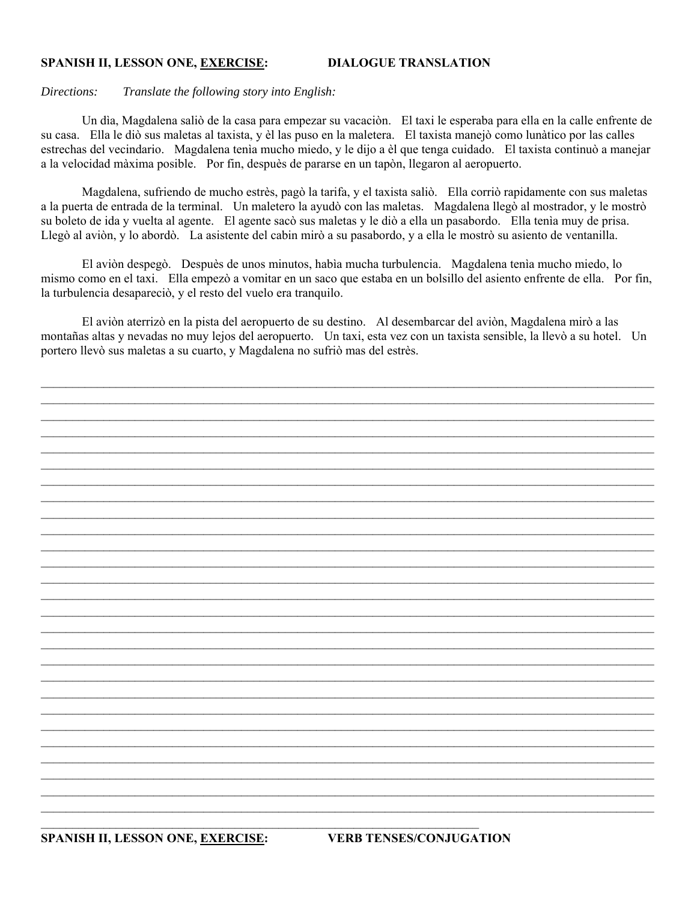## **SPANISH II, LESSON ONE, EXERCISE: DIALOGUE TRANSLATION**

#### *Directions: Translate the following story into English:*

 Un dìa, Magdalena saliò de la casa para empezar su vacaciòn. El taxi le esperaba para ella en la calle enfrente de su casa. Ella le diò sus maletas al taxista, y èl las puso en la maletera. El taxista manejò como lunàtico por las calles estrechas del vecindario. Magdalena tenìa mucho miedo, y le dijo a èl que tenga cuidado. El taxista continuò a manejar a la velocidad màxima posible. Por fin, despuès de pararse en un tapòn, llegaron al aeropuerto.

 Magdalena, sufriendo de mucho estrès, pagò la tarifa, y el taxista saliò. Ella corriò rapidamente con sus maletas a la puerta de entrada de la terminal. Un maletero la ayudò con las maletas. Magdalena llegò al mostrador, y le mostrò su boleto de ida y vuelta al agente. El agente sacò sus maletas y le diò a ella un pasabordo. Ella tenìa muy de prisa. Llegò al aviòn, y lo abordò. La asistente del cabin mirò a su pasabordo, y a ella le mostrò su asiento de ventanilla.

 El aviòn despegò. Despuès de unos minutos, habìa mucha turbulencia. Magdalena tenìa mucho miedo, lo mismo como en el taxi. Ella empezò a vomitar en un saco que estaba en un bolsillo del asiento enfrente de ella. Por fin, la turbulencia desapareciò, y el resto del vuelo era tranquilo.

 El aviòn aterrizò en la pista del aeropuerto de su destino. Al desembarcar del aviòn, Magdalena mirò a las montañas altas y nevadas no muy lejos del aeropuerto. Un taxi, esta vez con un taxista sensible, la llevò a su hotel. Un portero llevò sus maletas a su cuarto, y Magdalena no sufriò mas del estrès.

 $\mathcal{L}_\mathcal{L} = \mathcal{L}_\mathcal{L} = \mathcal{L}_\mathcal{L} = \mathcal{L}_\mathcal{L} = \mathcal{L}_\mathcal{L} = \mathcal{L}_\mathcal{L} = \mathcal{L}_\mathcal{L} = \mathcal{L}_\mathcal{L} = \mathcal{L}_\mathcal{L} = \mathcal{L}_\mathcal{L} = \mathcal{L}_\mathcal{L} = \mathcal{L}_\mathcal{L} = \mathcal{L}_\mathcal{L} = \mathcal{L}_\mathcal{L} = \mathcal{L}_\mathcal{L} = \mathcal{L}_\mathcal{L} = \mathcal{L}_\mathcal{L}$  $\mathcal{L}_\mathcal{L} = \mathcal{L}_\mathcal{L} = \mathcal{L}_\mathcal{L} = \mathcal{L}_\mathcal{L} = \mathcal{L}_\mathcal{L} = \mathcal{L}_\mathcal{L} = \mathcal{L}_\mathcal{L} = \mathcal{L}_\mathcal{L} = \mathcal{L}_\mathcal{L} = \mathcal{L}_\mathcal{L} = \mathcal{L}_\mathcal{L} = \mathcal{L}_\mathcal{L} = \mathcal{L}_\mathcal{L} = \mathcal{L}_\mathcal{L} = \mathcal{L}_\mathcal{L} = \mathcal{L}_\mathcal{L} = \mathcal{L}_\mathcal{L}$  $\mathcal{L}_\mathcal{L} = \mathcal{L}_\mathcal{L} = \mathcal{L}_\mathcal{L} = \mathcal{L}_\mathcal{L} = \mathcal{L}_\mathcal{L} = \mathcal{L}_\mathcal{L} = \mathcal{L}_\mathcal{L} = \mathcal{L}_\mathcal{L} = \mathcal{L}_\mathcal{L} = \mathcal{L}_\mathcal{L} = \mathcal{L}_\mathcal{L} = \mathcal{L}_\mathcal{L} = \mathcal{L}_\mathcal{L} = \mathcal{L}_\mathcal{L} = \mathcal{L}_\mathcal{L} = \mathcal{L}_\mathcal{L} = \mathcal{L}_\mathcal{L}$  $\mathcal{L}_\mathcal{L} = \mathcal{L}_\mathcal{L} = \mathcal{L}_\mathcal{L} = \mathcal{L}_\mathcal{L} = \mathcal{L}_\mathcal{L} = \mathcal{L}_\mathcal{L} = \mathcal{L}_\mathcal{L} = \mathcal{L}_\mathcal{L} = \mathcal{L}_\mathcal{L} = \mathcal{L}_\mathcal{L} = \mathcal{L}_\mathcal{L} = \mathcal{L}_\mathcal{L} = \mathcal{L}_\mathcal{L} = \mathcal{L}_\mathcal{L} = \mathcal{L}_\mathcal{L} = \mathcal{L}_\mathcal{L} = \mathcal{L}_\mathcal{L}$  $\_$  $\mathcal{L}_\mathcal{L} = \mathcal{L}_\mathcal{L} = \mathcal{L}_\mathcal{L} = \mathcal{L}_\mathcal{L} = \mathcal{L}_\mathcal{L} = \mathcal{L}_\mathcal{L} = \mathcal{L}_\mathcal{L} = \mathcal{L}_\mathcal{L} = \mathcal{L}_\mathcal{L} = \mathcal{L}_\mathcal{L} = \mathcal{L}_\mathcal{L} = \mathcal{L}_\mathcal{L} = \mathcal{L}_\mathcal{L} = \mathcal{L}_\mathcal{L} = \mathcal{L}_\mathcal{L} = \mathcal{L}_\mathcal{L} = \mathcal{L}_\mathcal{L}$ 

 $\_$  $\mathcal{L}_\mathcal{L} = \mathcal{L}_\mathcal{L} = \mathcal{L}_\mathcal{L} = \mathcal{L}_\mathcal{L} = \mathcal{L}_\mathcal{L} = \mathcal{L}_\mathcal{L} = \mathcal{L}_\mathcal{L} = \mathcal{L}_\mathcal{L} = \mathcal{L}_\mathcal{L} = \mathcal{L}_\mathcal{L} = \mathcal{L}_\mathcal{L} = \mathcal{L}_\mathcal{L} = \mathcal{L}_\mathcal{L} = \mathcal{L}_\mathcal{L} = \mathcal{L}_\mathcal{L} = \mathcal{L}_\mathcal{L} = \mathcal{L}_\mathcal{L}$  $\mathcal{L}_\mathcal{L} = \mathcal{L}_\mathcal{L} = \mathcal{L}_\mathcal{L} = \mathcal{L}_\mathcal{L} = \mathcal{L}_\mathcal{L} = \mathcal{L}_\mathcal{L} = \mathcal{L}_\mathcal{L} = \mathcal{L}_\mathcal{L} = \mathcal{L}_\mathcal{L} = \mathcal{L}_\mathcal{L} = \mathcal{L}_\mathcal{L} = \mathcal{L}_\mathcal{L} = \mathcal{L}_\mathcal{L} = \mathcal{L}_\mathcal{L} = \mathcal{L}_\mathcal{L} = \mathcal{L}_\mathcal{L} = \mathcal{L}_\mathcal{L}$  $\mathcal{L}_\mathcal{L} = \mathcal{L}_\mathcal{L} = \mathcal{L}_\mathcal{L} = \mathcal{L}_\mathcal{L} = \mathcal{L}_\mathcal{L} = \mathcal{L}_\mathcal{L} = \mathcal{L}_\mathcal{L} = \mathcal{L}_\mathcal{L} = \mathcal{L}_\mathcal{L} = \mathcal{L}_\mathcal{L} = \mathcal{L}_\mathcal{L} = \mathcal{L}_\mathcal{L} = \mathcal{L}_\mathcal{L} = \mathcal{L}_\mathcal{L} = \mathcal{L}_\mathcal{L} = \mathcal{L}_\mathcal{L} = \mathcal{L}_\mathcal{L}$  $\_$  $\mathcal{L}_\mathcal{L} = \mathcal{L}_\mathcal{L} = \mathcal{L}_\mathcal{L} = \mathcal{L}_\mathcal{L} = \mathcal{L}_\mathcal{L} = \mathcal{L}_\mathcal{L} = \mathcal{L}_\mathcal{L} = \mathcal{L}_\mathcal{L} = \mathcal{L}_\mathcal{L} = \mathcal{L}_\mathcal{L} = \mathcal{L}_\mathcal{L} = \mathcal{L}_\mathcal{L} = \mathcal{L}_\mathcal{L} = \mathcal{L}_\mathcal{L} = \mathcal{L}_\mathcal{L} = \mathcal{L}_\mathcal{L} = \mathcal{L}_\mathcal{L}$  $\mathcal{L}_\mathcal{L} = \mathcal{L}_\mathcal{L} = \mathcal{L}_\mathcal{L} = \mathcal{L}_\mathcal{L} = \mathcal{L}_\mathcal{L} = \mathcal{L}_\mathcal{L} = \mathcal{L}_\mathcal{L} = \mathcal{L}_\mathcal{L} = \mathcal{L}_\mathcal{L} = \mathcal{L}_\mathcal{L} = \mathcal{L}_\mathcal{L} = \mathcal{L}_\mathcal{L} = \mathcal{L}_\mathcal{L} = \mathcal{L}_\mathcal{L} = \mathcal{L}_\mathcal{L} = \mathcal{L}_\mathcal{L} = \mathcal{L}_\mathcal{L}$ 

 $\_$  $\mathcal{L}_\mathcal{L} = \mathcal{L}_\mathcal{L} = \mathcal{L}_\mathcal{L} = \mathcal{L}_\mathcal{L} = \mathcal{L}_\mathcal{L} = \mathcal{L}_\mathcal{L} = \mathcal{L}_\mathcal{L} = \mathcal{L}_\mathcal{L} = \mathcal{L}_\mathcal{L} = \mathcal{L}_\mathcal{L} = \mathcal{L}_\mathcal{L} = \mathcal{L}_\mathcal{L} = \mathcal{L}_\mathcal{L} = \mathcal{L}_\mathcal{L} = \mathcal{L}_\mathcal{L} = \mathcal{L}_\mathcal{L} = \mathcal{L}_\mathcal{L}$  $\mathcal{L}_\mathcal{L} = \mathcal{L}_\mathcal{L} = \mathcal{L}_\mathcal{L} = \mathcal{L}_\mathcal{L} = \mathcal{L}_\mathcal{L} = \mathcal{L}_\mathcal{L} = \mathcal{L}_\mathcal{L} = \mathcal{L}_\mathcal{L} = \mathcal{L}_\mathcal{L} = \mathcal{L}_\mathcal{L} = \mathcal{L}_\mathcal{L} = \mathcal{L}_\mathcal{L} = \mathcal{L}_\mathcal{L} = \mathcal{L}_\mathcal{L} = \mathcal{L}_\mathcal{L} = \mathcal{L}_\mathcal{L} = \mathcal{L}_\mathcal{L}$  $\_$  $\mathcal{L}_\mathcal{L} = \mathcal{L}_\mathcal{L} = \mathcal{L}_\mathcal{L} = \mathcal{L}_\mathcal{L} = \mathcal{L}_\mathcal{L} = \mathcal{L}_\mathcal{L} = \mathcal{L}_\mathcal{L} = \mathcal{L}_\mathcal{L} = \mathcal{L}_\mathcal{L} = \mathcal{L}_\mathcal{L} = \mathcal{L}_\mathcal{L} = \mathcal{L}_\mathcal{L} = \mathcal{L}_\mathcal{L} = \mathcal{L}_\mathcal{L} = \mathcal{L}_\mathcal{L} = \mathcal{L}_\mathcal{L} = \mathcal{L}_\mathcal{L}$  $\mathcal{L}_\mathcal{L} = \mathcal{L}_\mathcal{L} = \mathcal{L}_\mathcal{L} = \mathcal{L}_\mathcal{L} = \mathcal{L}_\mathcal{L} = \mathcal{L}_\mathcal{L} = \mathcal{L}_\mathcal{L} = \mathcal{L}_\mathcal{L} = \mathcal{L}_\mathcal{L} = \mathcal{L}_\mathcal{L} = \mathcal{L}_\mathcal{L} = \mathcal{L}_\mathcal{L} = \mathcal{L}_\mathcal{L} = \mathcal{L}_\mathcal{L} = \mathcal{L}_\mathcal{L} = \mathcal{L}_\mathcal{L} = \mathcal{L}_\mathcal{L}$ 

 $\mathcal{L}_\mathcal{L} = \mathcal{L}_\mathcal{L} = \mathcal{L}_\mathcal{L} = \mathcal{L}_\mathcal{L} = \mathcal{L}_\mathcal{L} = \mathcal{L}_\mathcal{L} = \mathcal{L}_\mathcal{L} = \mathcal{L}_\mathcal{L} = \mathcal{L}_\mathcal{L} = \mathcal{L}_\mathcal{L} = \mathcal{L}_\mathcal{L} = \mathcal{L}_\mathcal{L} = \mathcal{L}_\mathcal{L} = \mathcal{L}_\mathcal{L} = \mathcal{L}_\mathcal{L} = \mathcal{L}_\mathcal{L} = \mathcal{L}_\mathcal{L}$  $\mathcal{L}_\mathcal{L} = \mathcal{L}_\mathcal{L} = \mathcal{L}_\mathcal{L} = \mathcal{L}_\mathcal{L} = \mathcal{L}_\mathcal{L} = \mathcal{L}_\mathcal{L} = \mathcal{L}_\mathcal{L} = \mathcal{L}_\mathcal{L} = \mathcal{L}_\mathcal{L} = \mathcal{L}_\mathcal{L} = \mathcal{L}_\mathcal{L} = \mathcal{L}_\mathcal{L} = \mathcal{L}_\mathcal{L} = \mathcal{L}_\mathcal{L} = \mathcal{L}_\mathcal{L} = \mathcal{L}_\mathcal{L} = \mathcal{L}_\mathcal{L}$  $\mathcal{L}_\mathcal{L} = \mathcal{L}_\mathcal{L} = \mathcal{L}_\mathcal{L} = \mathcal{L}_\mathcal{L} = \mathcal{L}_\mathcal{L} = \mathcal{L}_\mathcal{L} = \mathcal{L}_\mathcal{L} = \mathcal{L}_\mathcal{L} = \mathcal{L}_\mathcal{L} = \mathcal{L}_\mathcal{L} = \mathcal{L}_\mathcal{L} = \mathcal{L}_\mathcal{L} = \mathcal{L}_\mathcal{L} = \mathcal{L}_\mathcal{L} = \mathcal{L}_\mathcal{L} = \mathcal{L}_\mathcal{L} = \mathcal{L}_\mathcal{L}$  $\mathcal{L}_\mathcal{L} = \mathcal{L}_\mathcal{L} = \mathcal{L}_\mathcal{L} = \mathcal{L}_\mathcal{L} = \mathcal{L}_\mathcal{L} = \mathcal{L}_\mathcal{L} = \mathcal{L}_\mathcal{L} = \mathcal{L}_\mathcal{L} = \mathcal{L}_\mathcal{L} = \mathcal{L}_\mathcal{L} = \mathcal{L}_\mathcal{L} = \mathcal{L}_\mathcal{L} = \mathcal{L}_\mathcal{L} = \mathcal{L}_\mathcal{L} = \mathcal{L}_\mathcal{L} = \mathcal{L}_\mathcal{L} = \mathcal{L}_\mathcal{L}$ 

 $\mathcal{L}_\text{max} = \frac{1}{2} \sum_{i=1}^n \mathcal{L}_\text{max}(\mathbf{z}_i - \mathbf{z}_i)$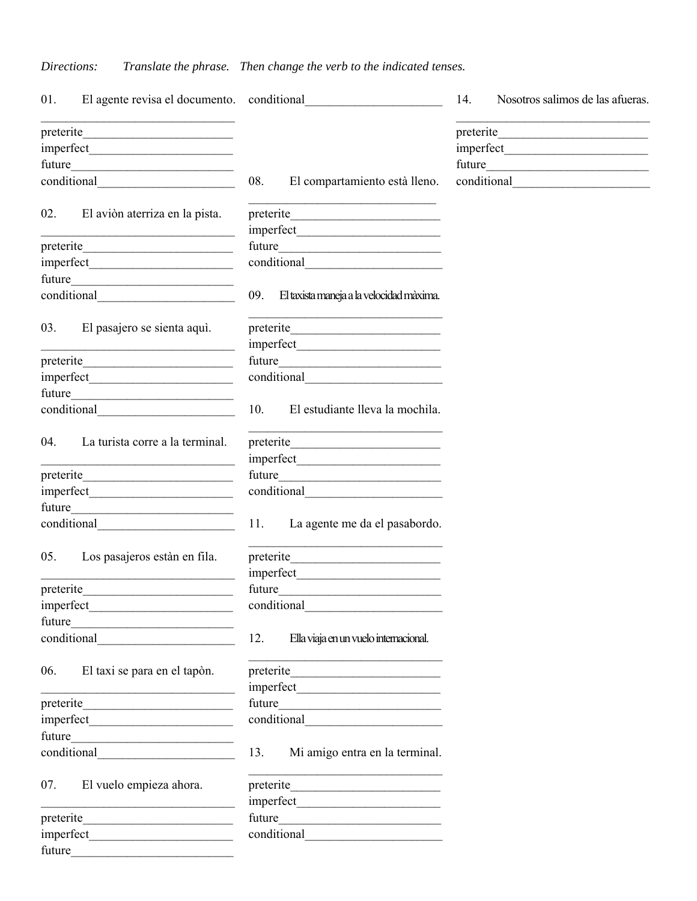# *Directions: Translate the phrase. Then change the verb to the indicated tenses.*

| 01.                                                        | El agente revisa el documento. conditional                                                                           |        |                                                                                                                                    | 14. | Nosotros salimos de las afueras. |
|------------------------------------------------------------|----------------------------------------------------------------------------------------------------------------------|--------|------------------------------------------------------------------------------------------------------------------------------------|-----|----------------------------------|
|                                                            |                                                                                                                      |        |                                                                                                                                    |     |                                  |
|                                                            |                                                                                                                      |        |                                                                                                                                    |     |                                  |
|                                                            |                                                                                                                      |        |                                                                                                                                    |     |                                  |
|                                                            |                                                                                                                      | 08.    | El compartamiento està lleno.                                                                                                      |     |                                  |
|                                                            |                                                                                                                      |        |                                                                                                                                    |     |                                  |
| 02.                                                        | El aviòn aterriza en la pista.                                                                                       |        |                                                                                                                                    |     |                                  |
|                                                            | <u> 1989 - Johann Stein, marwolaethau a bhann an t-Amhair an t-Amhair an t-Amhair an t-Amhair an t-Amhair an t-A</u> |        |                                                                                                                                    |     |                                  |
|                                                            |                                                                                                                      |        | future                                                                                                                             |     |                                  |
|                                                            |                                                                                                                      |        |                                                                                                                                    |     |                                  |
|                                                            |                                                                                                                      |        |                                                                                                                                    |     |                                  |
|                                                            |                                                                                                                      | 09.    | El taxista maneja a la velocidad màxima.                                                                                           |     |                                  |
| 03.                                                        | El pasajero se sienta aquì.                                                                                          |        | preterite                                                                                                                          |     |                                  |
|                                                            |                                                                                                                      |        |                                                                                                                                    |     |                                  |
|                                                            |                                                                                                                      |        |                                                                                                                                    |     |                                  |
|                                                            |                                                                                                                      |        |                                                                                                                                    |     |                                  |
|                                                            |                                                                                                                      |        |                                                                                                                                    |     |                                  |
|                                                            |                                                                                                                      | 10.    | El estudiante lleva la mochila.                                                                                                    |     |                                  |
| 04.                                                        | La turista corre a la terminal.                                                                                      |        | preterite                                                                                                                          |     |                                  |
|                                                            |                                                                                                                      |        |                                                                                                                                    |     |                                  |
|                                                            |                                                                                                                      |        |                                                                                                                                    |     |                                  |
|                                                            |                                                                                                                      |        |                                                                                                                                    |     |                                  |
|                                                            |                                                                                                                      |        |                                                                                                                                    |     |                                  |
|                                                            |                                                                                                                      | 11.    | La agente me da el pasabordo.                                                                                                      |     |                                  |
| 05.                                                        | Los pasajeros estàn en fila.                                                                                         |        | <u> 2002 - Jan James James James James James James James James James James James James James James James James Ja</u><br>preterite |     |                                  |
|                                                            |                                                                                                                      |        |                                                                                                                                    |     |                                  |
|                                                            |                                                                                                                      | future |                                                                                                                                    |     |                                  |
|                                                            |                                                                                                                      |        | conditional                                                                                                                        |     |                                  |
|                                                            | future                                                                                                               |        |                                                                                                                                    |     |                                  |
|                                                            |                                                                                                                      | 12.    | Ella viaja en un vuelo internacional.                                                                                              |     |                                  |
| 06.                                                        | El taxi se para en el tapòn.                                                                                         |        |                                                                                                                                    |     |                                  |
| <u> 1989 - Johann Barbara, martxa alemaniar amerikan a</u> |                                                                                                                      |        |                                                                                                                                    |     |                                  |
|                                                            |                                                                                                                      |        |                                                                                                                                    |     |                                  |
|                                                            | future                                                                                                               |        |                                                                                                                                    |     |                                  |
|                                                            |                                                                                                                      | 13.    | Mi amigo entra en la terminal.                                                                                                     |     |                                  |
|                                                            |                                                                                                                      |        |                                                                                                                                    |     |                                  |
| 07.                                                        | El vuelo empieza ahora.                                                                                              |        | preterite                                                                                                                          |     |                                  |
|                                                            |                                                                                                                      |        |                                                                                                                                    |     |                                  |
| preterite                                                  |                                                                                                                      | future |                                                                                                                                    |     |                                  |
|                                                            |                                                                                                                      |        |                                                                                                                                    |     |                                  |
| future                                                     |                                                                                                                      |        |                                                                                                                                    |     |                                  |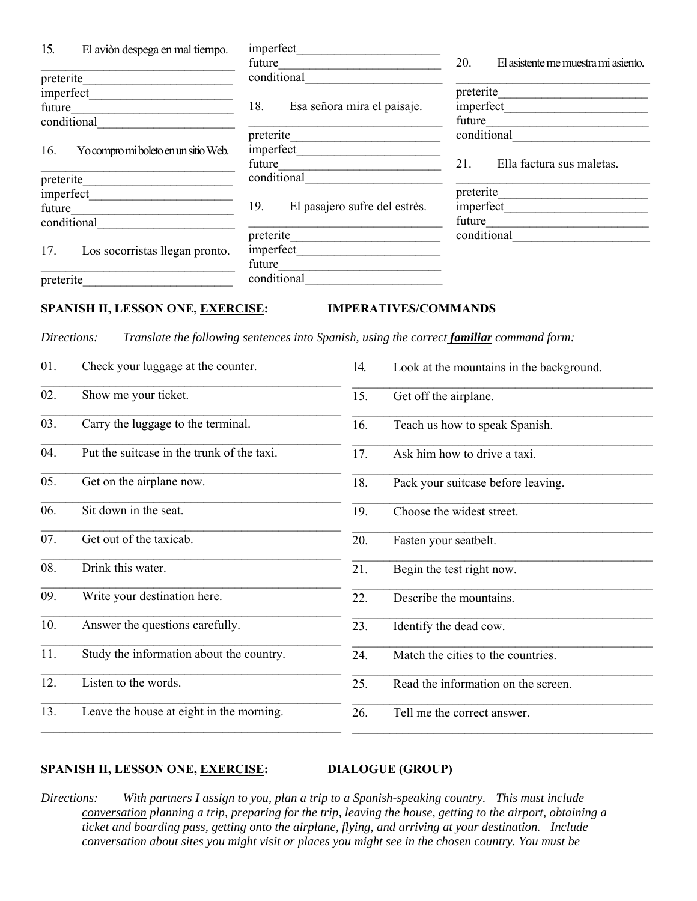| 15.                                         | El aviòn despega en mal tiempo.                                                                                                                     | imperfect                                                                                 |                                                                     |                                       |                              |                                                              |                                                                 |  |  |
|---------------------------------------------|-----------------------------------------------------------------------------------------------------------------------------------------------------|-------------------------------------------------------------------------------------------|---------------------------------------------------------------------|---------------------------------------|------------------------------|--------------------------------------------------------------|-----------------------------------------------------------------|--|--|
|                                             |                                                                                                                                                     |                                                                                           | future<br><u> 1980 - Johann Barbara, martxa alemaniar a</u>         |                                       |                              |                                                              | El asistente me muestra mi asiento.                             |  |  |
| preterite                                   | <u> 1980 - Johann Barn, mars ann an t-Amhain Aonaich an t-Aonaich an t-Aonaich ann an t-Aonaich ann an t-Aonaich</u>                                | conditional<br>the control of the control of the control of the control of the control of |                                                                     |                                       |                              |                                                              |                                                                 |  |  |
|                                             |                                                                                                                                                     |                                                                                           |                                                                     |                                       |                              |                                                              | preterite                                                       |  |  |
| future                                      | <u> Listen de la componenta</u>                                                                                                                     | 18.                                                                                       |                                                                     |                                       | Esa señora mira el paisaje.  |                                                              |                                                                 |  |  |
|                                             | conditional<br><u> 1980 - Johann Barbara, martxa alemaniar a</u>                                                                                    |                                                                                           |                                                                     |                                       |                              | future<br><u> 1989 - Johann John Stein, fransk politik (</u> |                                                                 |  |  |
|                                             |                                                                                                                                                     | preterite                                                                                 |                                                                     |                                       |                              |                                                              | conditional<br><u> 1986 - Andrea Station Barbara, ameri</u> kan |  |  |
| Yo compro mi boleto en un sitio Web.<br>16. |                                                                                                                                                     |                                                                                           |                                                                     |                                       |                              |                                                              |                                                                 |  |  |
|                                             |                                                                                                                                                     |                                                                                           | future<br><u> 1989 - Johann John Stone, mensk politik (d. 1989)</u> |                                       |                              | 21.                                                          | Ella factura sus maletas.                                       |  |  |
| preterite                                   |                                                                                                                                                     |                                                                                           |                                                                     |                                       |                              |                                                              |                                                                 |  |  |
|                                             |                                                                                                                                                     |                                                                                           |                                                                     |                                       |                              | preterite                                                    |                                                                 |  |  |
| future                                      |                                                                                                                                                     | 19.<br>El pasajero sufre del estrès.                                                      |                                                                     |                                       |                              |                                                              |                                                                 |  |  |
|                                             | conditional                                                                                                                                         |                                                                                           |                                                                     |                                       |                              | future                                                       |                                                                 |  |  |
|                                             |                                                                                                                                                     |                                                                                           |                                                                     | conditional                           |                              |                                                              |                                                                 |  |  |
|                                             |                                                                                                                                                     |                                                                                           |                                                                     |                                       |                              |                                                              |                                                                 |  |  |
| 17.                                         | Los socorristas llegan pronto.                                                                                                                      |                                                                                           |                                                                     |                                       |                              |                                                              |                                                                 |  |  |
|                                             |                                                                                                                                                     | future                                                                                    |                                                                     |                                       |                              |                                                              |                                                                 |  |  |
|                                             | preterite                                                                                                                                           |                                                                                           |                                                                     |                                       |                              |                                                              |                                                                 |  |  |
|                                             | <b>SPANISH II, LESSON ONE, EXERCISE:</b><br>Directions:<br>Translate the following sentences into Spanish, using the correct familiar command form: |                                                                                           |                                                                     |                                       | <b>IMPERATIVES/COMMANDS</b>  |                                                              |                                                                 |  |  |
|                                             |                                                                                                                                                     |                                                                                           |                                                                     |                                       |                              |                                                              |                                                                 |  |  |
| 01.                                         | Check your luggage at the counter.                                                                                                                  |                                                                                           |                                                                     | 14.                                   |                              |                                                              | Look at the mountains in the background.                        |  |  |
| 02.                                         | Show me your ticket.                                                                                                                                |                                                                                           |                                                                     | 15.<br>Get off the airplane.          |                              |                                                              |                                                                 |  |  |
| 03.                                         | Carry the luggage to the terminal.                                                                                                                  |                                                                                           |                                                                     | Teach us how to speak Spanish.<br>16. |                              |                                                              |                                                                 |  |  |
| 04.                                         | Put the suitcase in the trunk of the taxi.                                                                                                          |                                                                                           |                                                                     | 17.                                   | Ask him how to drive a taxi. |                                                              |                                                                 |  |  |
| 05.                                         | Get on the airplane now.                                                                                                                            |                                                                                           |                                                                     | 18.                                   |                              | Pack your suitcase before leaving.                           |                                                                 |  |  |
| 06.                                         | Sit down in the seat.                                                                                                                               |                                                                                           |                                                                     |                                       |                              | Choose the widest street.                                    |                                                                 |  |  |
| 07.                                         | Get out of the taxicab.                                                                                                                             |                                                                                           |                                                                     |                                       |                              | Fasten your seatbelt.                                        |                                                                 |  |  |
| 08.                                         | Drink this water.                                                                                                                                   |                                                                                           |                                                                     | 21.                                   |                              | Begin the test right now.                                    |                                                                 |  |  |
| 09.                                         | Write your destination here.                                                                                                                        |                                                                                           |                                                                     |                                       |                              | Describe the mountains.                                      |                                                                 |  |  |
| 10.                                         | Answer the questions carefully.                                                                                                                     |                                                                                           |                                                                     | 23.                                   |                              | Identify the dead cow.                                       |                                                                 |  |  |
| 11.                                         | Study the information about the country.                                                                                                            |                                                                                           |                                                                     |                                       |                              | Match the cities to the countries.                           |                                                                 |  |  |
| 12.                                         | Listen to the words.                                                                                                                                |                                                                                           |                                                                     |                                       |                              | Read the information on the screen.                          |                                                                 |  |  |
| 13.                                         | Leave the house at eight in the morning.                                                                                                            |                                                                                           |                                                                     |                                       |                              | Tell me the correct answer.                                  |                                                                 |  |  |
|                                             |                                                                                                                                                     |                                                                                           |                                                                     |                                       |                              |                                                              |                                                                 |  |  |

### **SPANISH II, LESSON ONE, EXERCISE: DIALOGUE (GROUP)**

*Directions: With partners I assign to you, plan a trip to a Spanish-speaking country. This must include conversation planning a trip, preparing for the trip, leaving the house, getting to the airport, obtaining a ticket and boarding pass, getting onto the airplane, flying, and arriving at your destination. Include conversation about sites you might visit or places you might see in the chosen country. You must be*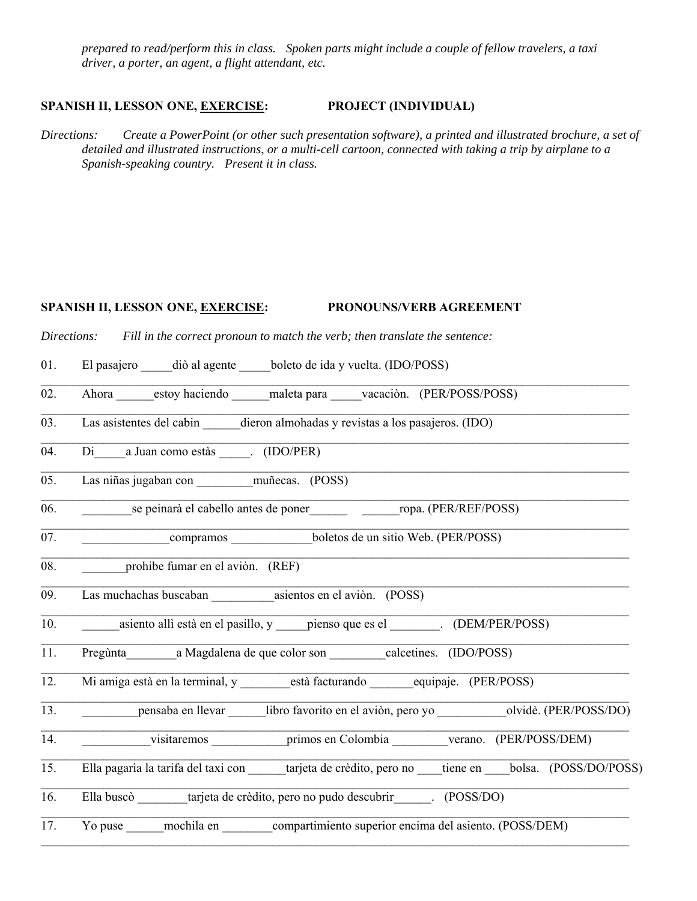*prepared to read/perform this in class. Spoken parts might include a couple of fellow travelers, a taxi driver, a porter, an agent, a flight attendant, etc.*

### **SPANISH II, LESSON ONE, EXERCISE: PROJECT (INDIVIDUAL)**

*Directions: Create a PowerPoint (or other such presentation software), a printed and illustrated brochure, a set of detailed and illustrated instructions*, *or a multi-cell cartoon, connected with taking a trip by airplane to a Spanish-speaking country. Present it in class.*

 $\mathcal{L}_\mathcal{L} = \mathcal{L}_\mathcal{L} = \mathcal{L}_\mathcal{L} = \mathcal{L}_\mathcal{L} = \mathcal{L}_\mathcal{L} = \mathcal{L}_\mathcal{L} = \mathcal{L}_\mathcal{L} = \mathcal{L}_\mathcal{L} = \mathcal{L}_\mathcal{L} = \mathcal{L}_\mathcal{L} = \mathcal{L}_\mathcal{L} = \mathcal{L}_\mathcal{L} = \mathcal{L}_\mathcal{L} = \mathcal{L}_\mathcal{L} = \mathcal{L}_\mathcal{L} = \mathcal{L}_\mathcal{L} = \mathcal{L}_\mathcal{L}$ 

 $\mathcal{L}_\mathcal{L} = \mathcal{L}_\mathcal{L} = \mathcal{L}_\mathcal{L} = \mathcal{L}_\mathcal{L} = \mathcal{L}_\mathcal{L} = \mathcal{L}_\mathcal{L} = \mathcal{L}_\mathcal{L} = \mathcal{L}_\mathcal{L} = \mathcal{L}_\mathcal{L} = \mathcal{L}_\mathcal{L} = \mathcal{L}_\mathcal{L} = \mathcal{L}_\mathcal{L} = \mathcal{L}_\mathcal{L} = \mathcal{L}_\mathcal{L} = \mathcal{L}_\mathcal{L} = \mathcal{L}_\mathcal{L} = \mathcal{L}_\mathcal{L}$ 

 $\mathcal{L}_\mathcal{L} = \mathcal{L}_\mathcal{L} = \mathcal{L}_\mathcal{L} = \mathcal{L}_\mathcal{L} = \mathcal{L}_\mathcal{L} = \mathcal{L}_\mathcal{L} = \mathcal{L}_\mathcal{L} = \mathcal{L}_\mathcal{L} = \mathcal{L}_\mathcal{L} = \mathcal{L}_\mathcal{L} = \mathcal{L}_\mathcal{L} = \mathcal{L}_\mathcal{L} = \mathcal{L}_\mathcal{L} = \mathcal{L}_\mathcal{L} = \mathcal{L}_\mathcal{L} = \mathcal{L}_\mathcal{L} = \mathcal{L}_\mathcal{L}$ 

 $\mathcal{L}_\mathcal{L} = \mathcal{L}_\mathcal{L} = \mathcal{L}_\mathcal{L} = \mathcal{L}_\mathcal{L} = \mathcal{L}_\mathcal{L} = \mathcal{L}_\mathcal{L} = \mathcal{L}_\mathcal{L} = \mathcal{L}_\mathcal{L} = \mathcal{L}_\mathcal{L} = \mathcal{L}_\mathcal{L} = \mathcal{L}_\mathcal{L} = \mathcal{L}_\mathcal{L} = \mathcal{L}_\mathcal{L} = \mathcal{L}_\mathcal{L} = \mathcal{L}_\mathcal{L} = \mathcal{L}_\mathcal{L} = \mathcal{L}_\mathcal{L}$ 

 $\mathcal{L}_\mathcal{L} = \mathcal{L}_\mathcal{L} = \mathcal{L}_\mathcal{L} = \mathcal{L}_\mathcal{L} = \mathcal{L}_\mathcal{L} = \mathcal{L}_\mathcal{L} = \mathcal{L}_\mathcal{L} = \mathcal{L}_\mathcal{L} = \mathcal{L}_\mathcal{L} = \mathcal{L}_\mathcal{L} = \mathcal{L}_\mathcal{L} = \mathcal{L}_\mathcal{L} = \mathcal{L}_\mathcal{L} = \mathcal{L}_\mathcal{L} = \mathcal{L}_\mathcal{L} = \mathcal{L}_\mathcal{L} = \mathcal{L}_\mathcal{L}$ 

 $\mathcal{L}_\mathcal{L} = \mathcal{L}_\mathcal{L} = \mathcal{L}_\mathcal{L} = \mathcal{L}_\mathcal{L} = \mathcal{L}_\mathcal{L} = \mathcal{L}_\mathcal{L} = \mathcal{L}_\mathcal{L} = \mathcal{L}_\mathcal{L} = \mathcal{L}_\mathcal{L} = \mathcal{L}_\mathcal{L} = \mathcal{L}_\mathcal{L} = \mathcal{L}_\mathcal{L} = \mathcal{L}_\mathcal{L} = \mathcal{L}_\mathcal{L} = \mathcal{L}_\mathcal{L} = \mathcal{L}_\mathcal{L} = \mathcal{L}_\mathcal{L}$ 

 $\mathcal{L}_\mathcal{L} = \mathcal{L}_\mathcal{L} = \mathcal{L}_\mathcal{L} = \mathcal{L}_\mathcal{L} = \mathcal{L}_\mathcal{L} = \mathcal{L}_\mathcal{L} = \mathcal{L}_\mathcal{L} = \mathcal{L}_\mathcal{L} = \mathcal{L}_\mathcal{L} = \mathcal{L}_\mathcal{L} = \mathcal{L}_\mathcal{L} = \mathcal{L}_\mathcal{L} = \mathcal{L}_\mathcal{L} = \mathcal{L}_\mathcal{L} = \mathcal{L}_\mathcal{L} = \mathcal{L}_\mathcal{L} = \mathcal{L}_\mathcal{L}$ 

 $\mathcal{L}_\mathcal{L} = \mathcal{L}_\mathcal{L} = \mathcal{L}_\mathcal{L} = \mathcal{L}_\mathcal{L} = \mathcal{L}_\mathcal{L} = \mathcal{L}_\mathcal{L} = \mathcal{L}_\mathcal{L} = \mathcal{L}_\mathcal{L} = \mathcal{L}_\mathcal{L} = \mathcal{L}_\mathcal{L} = \mathcal{L}_\mathcal{L} = \mathcal{L}_\mathcal{L} = \mathcal{L}_\mathcal{L} = \mathcal{L}_\mathcal{L} = \mathcal{L}_\mathcal{L} = \mathcal{L}_\mathcal{L} = \mathcal{L}_\mathcal{L}$ 

\_\_\_\_\_\_\_\_\_\_\_\_\_\_\_\_\_\_\_\_\_\_\_\_\_\_\_\_\_\_\_\_\_\_\_\_\_\_\_\_\_\_\_\_\_\_\_\_\_\_\_\_\_\_\_\_\_\_\_\_\_\_\_\_\_\_\_\_\_\_\_\_\_\_\_\_\_\_\_\_\_\_\_\_\_\_\_\_\_\_\_\_\_\_

# **SPANISH II, LESSON ONE, EXERCISE: PRONOUNS/VERB AGREEMENT**

*Directions: Fill in the correct pronoun to match the verb; then translate the sentence:*

01. El pasajero diò al agente boleto de ida y vuelta. (IDO/POSS)

02. Ahora estoy haciendo maleta para vacaciòn. (PER/POSS/POSS)

03. Las asistentes del cabin dieron almohadas y revistas a los pasajeros. (IDO)

04. Di a Juan como estàs (IDO/PER)

05. Las niñas jugaban con muñecas. (POSS)

06. Se peinarà el cabello antes de poner compa. (PER/REF/POSS)

07. compramos boletos de un sitio Web. (PER/POSS)

08. **prohibe fumar en el aviòn.** (REF)

09. Las muchachas buscaban asientos en el aviòn. (POSS)

10. \_\_\_\_\_\_asiento allì està en el pasillo, y \_\_\_\_\_pienso que es el \_\_\_\_\_\_\_\_. (DEM/PER/POSS)

11. Pregùnta\_\_\_\_\_\_\_\_a Magdalena de que color son \_\_\_\_\_\_\_\_\_calcetines. (IDO/POSS)

12. Mi amiga està en la terminal, y està facturando equipaje. (PER/POSS)  $\mathcal{L}_\mathcal{L} = \mathcal{L}_\mathcal{L} = \mathcal{L}_\mathcal{L} = \mathcal{L}_\mathcal{L} = \mathcal{L}_\mathcal{L} = \mathcal{L}_\mathcal{L} = \mathcal{L}_\mathcal{L} = \mathcal{L}_\mathcal{L} = \mathcal{L}_\mathcal{L} = \mathcal{L}_\mathcal{L} = \mathcal{L}_\mathcal{L} = \mathcal{L}_\mathcal{L} = \mathcal{L}_\mathcal{L} = \mathcal{L}_\mathcal{L} = \mathcal{L}_\mathcal{L} = \mathcal{L}_\mathcal{L} = \mathcal{L}_\mathcal{L}$ 

- 13. **ensaba en llevar** libro favorito en el aviòn, pero yo olvidè. (PER/POSS/DO) \_\_\_\_\_\_\_\_\_\_\_\_\_\_\_\_\_\_\_\_\_\_\_\_\_\_\_\_\_\_\_\_\_\_\_\_\_\_\_\_\_\_\_\_\_\_\_\_\_\_\_\_\_\_\_\_\_\_\_\_\_\_\_\_\_\_\_\_\_\_\_\_\_\_\_\_\_\_\_\_\_\_\_\_\_\_\_\_\_\_\_\_\_\_
- 14. contractions to the visitaremos and primos en Colombia to verano. (PER/POSS/DEM)  $\mathcal{L}_\mathcal{L} = \mathcal{L}_\mathcal{L} = \mathcal{L}_\mathcal{L} = \mathcal{L}_\mathcal{L} = \mathcal{L}_\mathcal{L} = \mathcal{L}_\mathcal{L} = \mathcal{L}_\mathcal{L} = \mathcal{L}_\mathcal{L} = \mathcal{L}_\mathcal{L} = \mathcal{L}_\mathcal{L} = \mathcal{L}_\mathcal{L} = \mathcal{L}_\mathcal{L} = \mathcal{L}_\mathcal{L} = \mathcal{L}_\mathcal{L} = \mathcal{L}_\mathcal{L} = \mathcal{L}_\mathcal{L} = \mathcal{L}_\mathcal{L}$
- 15. Ella pagarìa la tarifa del taxi con tarjeta de crèdito, pero no tiene en bolsa. (POSS/DO/POSS) \_\_\_\_\_\_\_\_\_\_\_\_\_\_\_\_\_\_\_\_\_\_\_\_\_\_\_\_\_\_\_\_\_\_\_\_\_\_\_\_\_\_\_\_\_\_\_\_\_\_\_\_\_\_\_\_\_\_\_\_\_\_\_\_\_\_\_\_\_\_\_\_\_\_\_\_\_\_\_\_\_\_\_\_\_\_\_\_\_\_\_\_\_\_

 $\mathcal{L}_\mathcal{L} = \mathcal{L}_\mathcal{L} = \mathcal{L}_\mathcal{L} = \mathcal{L}_\mathcal{L} = \mathcal{L}_\mathcal{L} = \mathcal{L}_\mathcal{L} = \mathcal{L}_\mathcal{L} = \mathcal{L}_\mathcal{L} = \mathcal{L}_\mathcal{L} = \mathcal{L}_\mathcal{L} = \mathcal{L}_\mathcal{L} = \mathcal{L}_\mathcal{L} = \mathcal{L}_\mathcal{L} = \mathcal{L}_\mathcal{L} = \mathcal{L}_\mathcal{L} = \mathcal{L}_\mathcal{L} = \mathcal{L}_\mathcal{L}$ 

 $\mathcal{L}_\mathcal{L} = \mathcal{L}_\mathcal{L} = \mathcal{L}_\mathcal{L} = \mathcal{L}_\mathcal{L} = \mathcal{L}_\mathcal{L} = \mathcal{L}_\mathcal{L} = \mathcal{L}_\mathcal{L} = \mathcal{L}_\mathcal{L} = \mathcal{L}_\mathcal{L} = \mathcal{L}_\mathcal{L} = \mathcal{L}_\mathcal{L} = \mathcal{L}_\mathcal{L} = \mathcal{L}_\mathcal{L} = \mathcal{L}_\mathcal{L} = \mathcal{L}_\mathcal{L} = \mathcal{L}_\mathcal{L} = \mathcal{L}_\mathcal{L}$ 

- 16. Ella buscò \_\_\_\_\_\_\_\_tarjeta de crèdito, pero no pudo descubrir\_\_\_\_\_\_. (POSS/DO)
- 17. Yo puse mochila en compartimiento superior encima del asiento. (POSS/DEM)